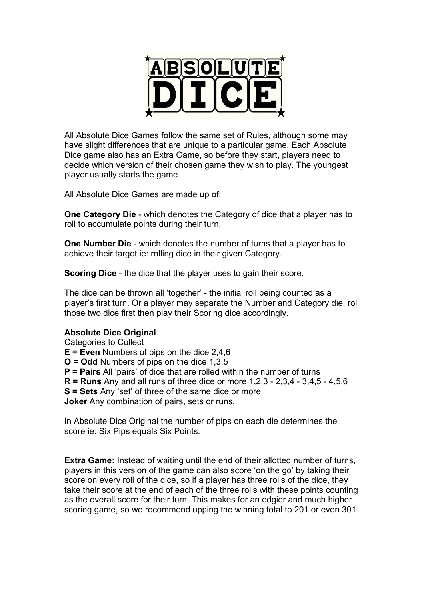

All Absolute Dice Games follow the same set of Rules, although some may have slight differences that are unique to a particular game. Each Absolute Dice game also has an Extra Game, so before they start, players need to decide which version of their chosen game they wish to play. The youngest player usually starts the game.

All Absolute Dice Games are made up of:

**One Category Die** - which denotes the Category of dice that a player has to roll to accumulate points during their turn.

**One Number Die** - which denotes the number of turns that a player has to achieve their target ie: rolling dice in their given Category.

**Scoring Dice** - the dice that the player uses to gain their score.

The dice can be thrown all 'together' - the initial roll being counted as a player's first turn. Or a player may separate the Number and Category die, roll those two dice first then play their Scoring dice accordingly.

## **Absolute Dice Original**

Categories to Collect **E = Even** Numbers of pips on the dice 2,4,6 **O = Odd** Numbers of pips on the dice 1,3,5 **P = Pairs** All 'pairs' of dice that are rolled within the number of turns **R = Runs** Any and all runs of three dice or more 1,2,3 - 2,3,4 - 3,4,5 - 4,5,6 **S = Sets** Any 'set' of three of the same dice or more **Joker** Any combination of pairs, sets or runs.

In Absolute Dice Original the number of pips on each die determines the score ie: Six Pips equals Six Points.

**Extra Game:** Instead of waiting until the end of their allotted number of turns, players in this version of the game can also score 'on the go' by taking their score on every roll of the dice, so if a player has three rolls of the dice, they take their score at the end of each of the three rolls with these points counting as the overall score for their turn. This makes for an edgier and much higher scoring game, so we recommend upping the winning total to 201 or even 301.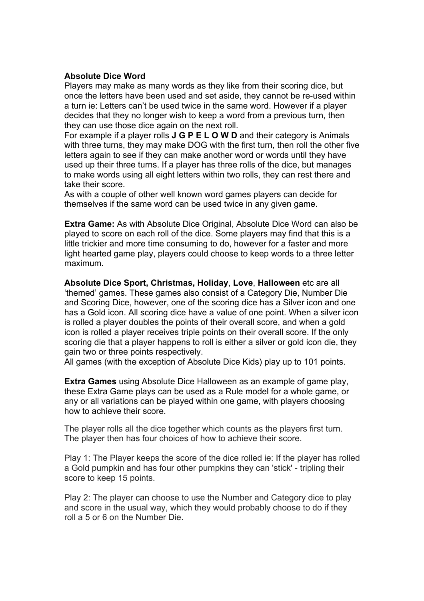## **Absolute Dice Word**

Players may make as many words as they like from their scoring dice, but once the letters have been used and set aside, they cannot be re-used within a turn ie: Letters can't be used twice in the same word. However if a player decides that they no longer wish to keep a word from a previous turn, then they can use those dice again on the next roll.

For example if a player rolls **J G P E L O W D** and their category is Animals with three turns, they may make DOG with the first turn, then roll the other five letters again to see if they can make another word or words until they have used up their three turns. If a player has three rolls of the dice, but manages to make words using all eight letters within two rolls, they can rest there and take their score.

As with a couple of other well known word games players can decide for themselves if the same word can be used twice in any given game.

**Extra Game:** As with Absolute Dice Original, Absolute Dice Word can also be played to score on each roll of the dice. Some players may find that this is a little trickier and more time consuming to do, however for a faster and more light hearted game play, players could choose to keep words to a three letter maximum.

**Absolute Dice Sport, Christmas, Holiday**, **Love**, **Halloween** etc are all 'themed' games. These games also consist of a Category Die, Number Die and Scoring Dice, however, one of the scoring dice has a Silver icon and one has a Gold icon. All scoring dice have a value of one point. When a silver icon is rolled a player doubles the points of their overall score, and when a gold icon is rolled a player receives triple points on their overall score. If the only scoring die that a player happens to roll is either a silver or gold icon die, they gain two or three points respectively.

All games (with the exception of Absolute Dice Kids) play up to 101 points.

**Extra Games** using Absolute Dice Halloween as an example of game play, these Extra Game plays can be used as a Rule model for a whole game, or any or all variations can be played within one game, with players choosing how to achieve their score.

The player rolls all the dice together which counts as the players first turn. The player then has four choices of how to achieve their score.

Play 1: The Player keeps the score of the dice rolled ie: If the player has rolled a Gold pumpkin and has four other pumpkins they can 'stick' - tripling their score to keep 15 points.

Play 2: The player can choose to use the Number and Category dice to play and score in the usual way, which they would probably choose to do if they roll a 5 or 6 on the Number Die.